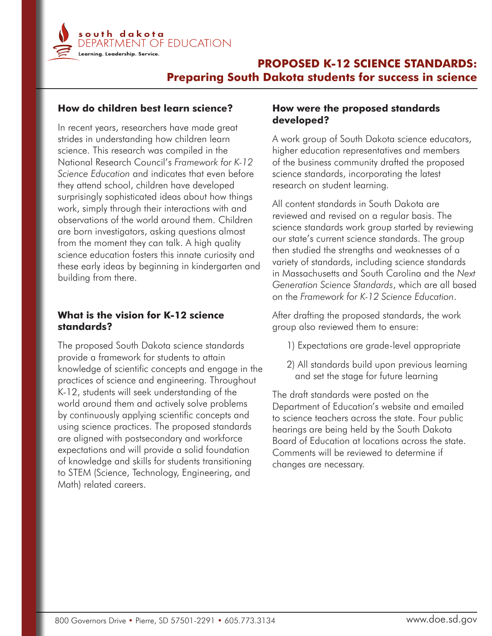

# **PROPOSED K-12 SCIENCE STANDARDS: Preparing South Dakota students for success in science**

### **How do children best learn science?**

In recent years, researchers have made great strides in understanding how children learn science. This research was compiled in the National Research Council's *Framework for K-12 Science Education* and indicates that even before they attend school, children have developed surprisingly sophisticated ideas about how things work, simply through their interactions with and observations of the world around them. Children are born investigators, asking questions almost from the moment they can talk. A high quality science education fosters this innate curiosity and these early ideas by beginning in kindergarten and building from there.

### **What is the vision for K-12 science standards?**

The proposed South Dakota science standards provide a framework for students to attain knowledge of scientific concepts and engage in the practices of science and engineering. Throughout K-12, students will seek understanding of the world around them and actively solve problems by continuously applying scientific concepts and using science practices. The proposed standards are aligned with postsecondary and workforce expectations and will provide a solid foundation of knowledge and skills for students transitioning to STEM (Science, Technology, Engineering, and Math) related careers.

### **How were the proposed standards developed?**

A work group of South Dakota science educators, higher education representatives and members of the business community drafted the proposed science standards, incorporating the latest research on student learning.

All content standards in South Dakota are reviewed and revised on a regular basis. The science standards work group started by reviewing our state's current science standards. The group then studied the strengths and weaknesses of a variety of standards, including science standards in Massachusetts and South Carolina and the *Next Generation Science Standards*, which are all based on the *Framework for K-12 Science Education*.

After drafting the proposed standards, the work group also reviewed them to ensure:

- 1) Expectations are grade-level appropriate
- 2) All standards build upon previous learning and set the stage for future learning

The draft standards were posted on the Department of Education's website and emailed to science teachers across the state. Four public hearings are being held by the South Dakota Board of Education at locations across the state. Comments will be reviewed to determine if changes are necessary.